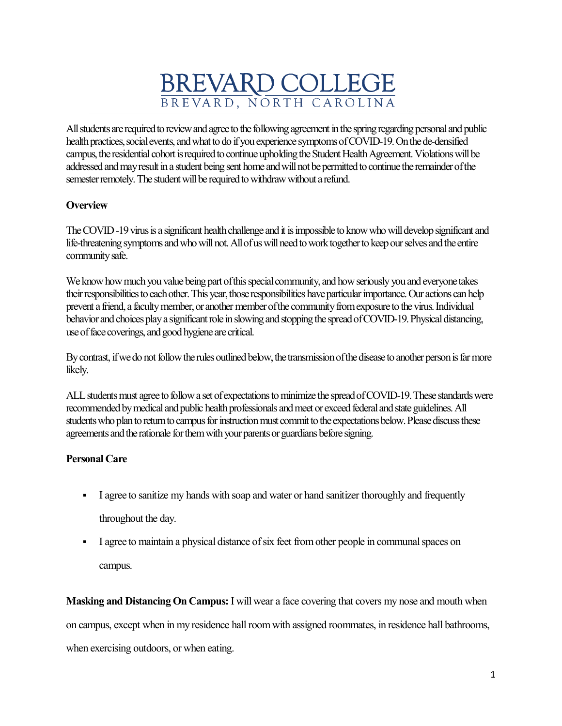# BREVARD COLLEGE

All students are required to review and agree to the following agreement in the spring regarding personal and public health practices, social events, and what to do if you experience symptoms of COVID-19. On the de-densified campus, the residential cohort is required to continue upholding the Student Health Agreement[.Violations will be](https://www.gettysburg.edu/opening/residential/covid19-behavior-rubric#level-1)  addressed and may result in a student being sent home and will not be permitted to continue the remainder of the semester remotely.The student will be required to withdraw without a refund.

# **Overview**

The COVID -19 virus is a significant health challenge and it is impossible to know who will develop significant and life-threatening symptoms and who will not. All of us will need to work together to keep our selves and the entire community safe.

We know how much you value being part of this special community, and how seriously you and everyone takes their responsibilities to each other. This year, those responsibilities have particular importance. Our actions can help prevent a friend, a faculty member, or another member of the community from exposure to the virus. Individual behavior and choices play a significant role in slowing and stopping the spread of COVID-19. Physical distancing, use of face coverings, and good hygiene are critical.

By contrast, if we do not follow the rules outlined below, the transmission of the disease to another person is far more likely.

ALL students must agree to follow a set of expectations to minimize the spread of COVID-19. These standards were recommended by medical and public health professionals and meet or exceed federal and state guidelines. All students who plan to return to campus for instruction must commit to the expectations below. Please discuss these agreements and the rationale for them with your parents or guardians before signing.

# **Personal Care**

- I agree to sanitize my hands with soap and water or hand sanitizer thoroughly and frequently throughout the day.
- I agree to maintain a physical distance of six feet from other people in communal spaces on campus.

**Masking and Distancing On Campus:** I will wear a face covering that covers my nose and mouth when on campus, except when in my residence hall room with assigned roommates, in residence hall bathrooms, when exercising outdoors, or when eating.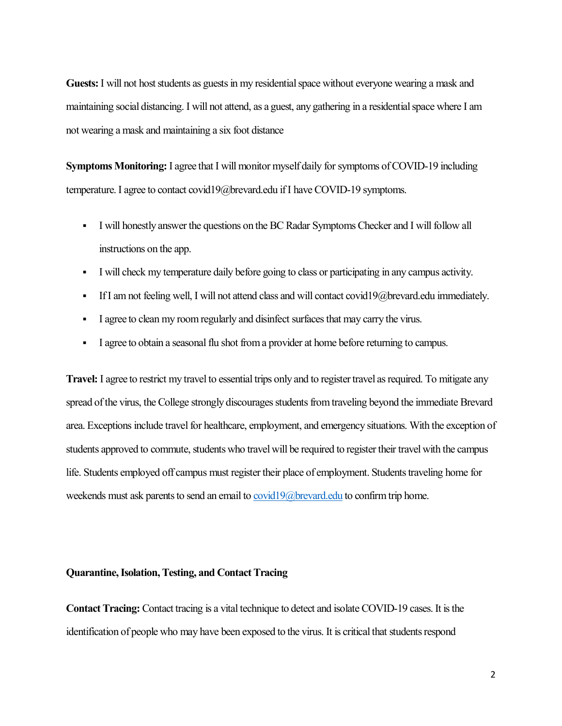**Guests:** I will not host students as guests in my residential space without everyone wearing a mask and maintaining social distancing. I will not attend, as a guest, any gathering in a residential space where I am not wearing a mask and maintaining a six foot distance

**Symptoms Monitoring:** I agree that I will monitor myself daily for symptoms of COVID-19 including temperature. I agree to contact covid19@brevard.edu if I have COVID-19 symptoms.

- I will honestly answer the questions on the BC Radar Symptoms Checker and I will follow all instructions on the app.
- I will check my temperature daily before going to class or participating in any campus activity.
- If I am not feeling well, I will not attend class and will contact covid19@brevard.edu immediately.
- I agree to clean my room regularly and disinfect surfaces that may carry the virus.
- I agree to obtain a seasonal flu shot from a provider at home before returning to campus.

**Travel:** I agree to restrict my travel to essential trips only and to register travel as required. To mitigate any spread of the virus, the College strongly discourages students from traveling beyond the immediate Brevard area. Exceptions include travel for healthcare, employment, and emergency situations. With the exception of students approved to commute, students who travel will be required to register their travel with the campus life. Students employed off campus must register their place of employment. Students traveling home for weekends must ask parents to send an email to [covid19@brevard.edu](mailto:covid19@brevard.edu) to confirm trip home.

#### **Quarantine, Isolation, Testing, and Contact Tracing**

**Contact Tracing:** Contact tracing is a vital technique to detect and isolate COVID-19 cases. It is the identification of people who may have been exposed to the virus. It is critical that students respond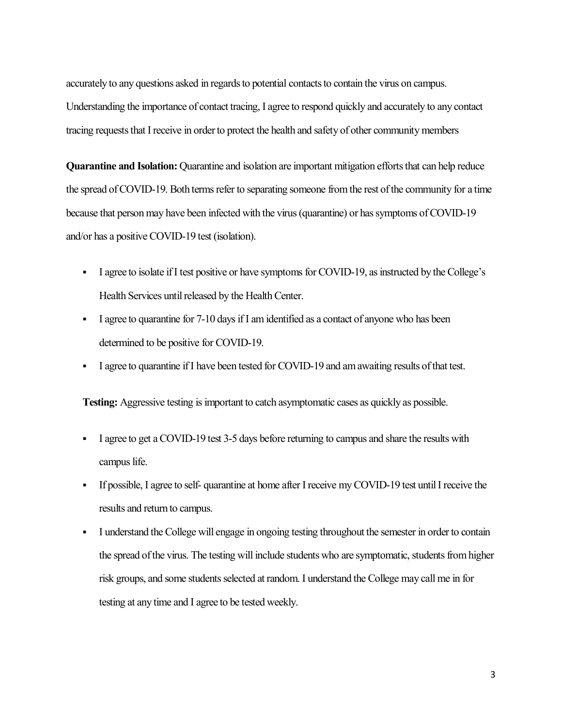accurately to any questions asked in regards to potential contacts to contain the virus on campus. Understanding the importance of contact tracing, I agree to respond quickly and accurately to any contact tracing requests that I receive in order to protect the health and safety of other community members

**Quarantine and Isolation:** Quarantine and isolation are important mitigation efforts that can help reduce the spread of COVID-19. Both terms refer to separating someone from the rest of the community for a time because that person may have been infected with the virus (quarantine) or has symptoms of COVID-19 and/or has a positive COVID-19 test (isolation).

- I agree to isolate if I test positive or have symptoms for COVID-19, as instructed by the College's Health Services until released by the Health Center.
- I agree to quarantine for  $7-10$  days if I am identified as a contact of anyone who has been determined to be positive for COVID-19.
- I agree to quarantine if I have been tested for COVID-19 and am awaiting results of that test.

**Testing:** Aggressive testing is important to catch asymptomatic cases as quickly as possible.

- I agree to get a COVID-19 test 3-5 days before returning to campus and share the results with campus life.
- If possible, I agree to self- quarantine at home after I receive my COVID-19 test until I receive the results and return to campus.
- I understand the College will engage in ongoing testing throughout the semester in order to contain the spread of the virus. The testing will include students who are symptomatic, students from higher risk groups, and some students selected at random. I understand the College may call me in for testing at any time and I agree to be tested weekly.